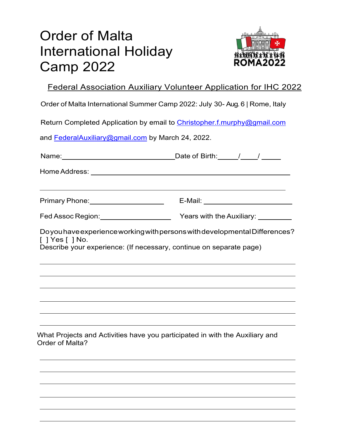## Order of Malta International Holiday Camp 2022



Federal Association Auxiliary Volunteer Application for IHC 2022

Order of Malta International Summer Camp 2022: July 30- Aug. 6 | Rome, Italy

Return Completed Application by email to Christopher.f.murphy@gmail.com

and FederalAuxiliary@gmail.com by March 24, 2022.

| Name: Name: Name: Name: Name: Name: Name: Name: Name: Name: Name: Name: Name: Name: Name: Name: Name: Name: Name: Name: Name: Name: Name: Name: Name: Name: Name: Name: Name: Name: Name: Name: Name: Name: Name: Name: Name:                                          |                                                                                  |
|------------------------------------------------------------------------------------------------------------------------------------------------------------------------------------------------------------------------------------------------------------------------|----------------------------------------------------------------------------------|
|                                                                                                                                                                                                                                                                        |                                                                                  |
| ,我们也不会有什么。""我们的人,我们也不会有什么?""我们的人,我们也不会有什么?""我们的人,我们也不会有什么?""我们的人,我们也不会有什么?""我们的人<br>Primary Phone: __________________________  E-Mail: _____________________________                                                                                                   |                                                                                  |
|                                                                                                                                                                                                                                                                        |                                                                                  |
| Doyou have experience working with persons with developmental Differences?<br>$\lceil$   Yes $\lceil$   No.<br>Describe your experience: (If necessary, continue on separate page)<br>,我们也不会有什么。""我们的人,我们也不会有什么?""我们的人,我们也不会有什么?""我们的人,我们也不会有什么?""我们的人,我们也不会有什么?""我们的人 |                                                                                  |
|                                                                                                                                                                                                                                                                        | ,我们也不会有什么。""我们的人,我们也不会有什么?""我们的人,我们也不会有什么?""我们的人,我们也不会有什么?""我们的人,我们也不会有什么?""我们的人 |
| ,我们也不能会在这里,我们的人们就会不能会在这里,我们也不能会不能会不能会不能会不能会不能会不能会。""我们的人们就会不能会不能会不能会不能会不能会不能会不能会<br>and the state of the state of the state of the state of the state of the state of the state of the                                                                                 |                                                                                  |
| What Projects and Activities have you participated in with the Auxiliary and<br>Order of Malta?                                                                                                                                                                        |                                                                                  |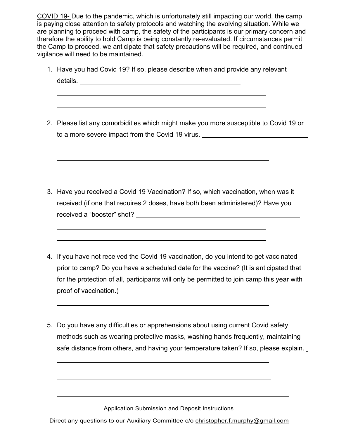COVID 19- Due to the pandemic, which is unfortunately still impacting our world, the camp is paying close attention to safety protocols and watching the evolving situation. While we are planning to proceed with camp, the safety of the participants is our primary concern and therefore the ability to hold Camp is being constantly re-evaluated. If circumstances permit the Camp to proceed, we anticipate that safety precautions will be required, and continued vigilance will need to be maintained.

1. Have you had Covid 19? If so, please describe when and provide any relevant details. The contract of the contract of the contract of the contract of the contract of the contract of the contract of the contract of the contract of the contract of the contract of the contract of the contract of the c

 $\overline{a}$ 

 $\overline{a}$ 

 $\overline{a}$ 

 $\overline{a}$ 

 $\overline{a}$ 

 $\overline{a}$ 

 $\overline{a}$ 

 $\overline{a}$ 

 $\overline{a}$ 

 $\overline{a}$ 

 $\overline{a}$ 

2. Please list any comorbidities which might make you more susceptible to Covid 19 or to a more severe impact from the Covid 19 virus.

- 3. Have you received a Covid 19 Vaccination? If so, which vaccination, when was it received (if one that requires 2 doses, have both been administered)? Have you received a "booster" shot?
- 4. If you have not received the Covid 19 vaccination, do you intend to get vaccinated prior to camp? Do you have a scheduled date for the vaccine? (It is anticipated that for the protection of all, participants will only be permitted to join camp this year with proof of vaccination.)
- 5. Do you have any difficulties or apprehensions about using current Covid safety methods such as wearing protective masks, washing hands frequently, maintaining safe distance from others, and having your temperature taken? If so, please explain.

Application Submission and Deposit Instructions